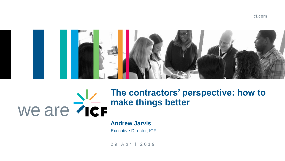### **icf.com**



### we are **The contractors' perspective: how to make things better**

### **Andrew Jarvis**

Executive Director, ICF

29 April 2019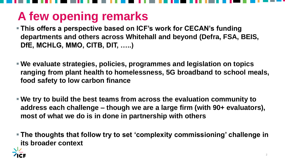# **A few opening remarks**

- **This offers a perspective based on ICF's work for CECAN's funding departments and others across Whitehall and beyond (Defra, FSA, BEIS, DfE, MCHLG, MMO, CITB, DIT, …..)**
- **We evaluate strategies, policies, programmes and legislation on topics ranging from plant health to homelessness, 5G broadband to school meals, food safety to low carbon finance**
- **We try to build the best teams from across the evaluation community to address each challenge – though we are a large firm (with 90+ evaluators), most of what we do is in done in partnership with others**
- **The thoughts that follow try to set 'complexity commissioning' challenge in its broader context**

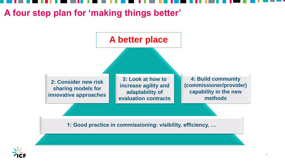**1: Good practice in commissioning: visibility, efficiency, …**







# **A four step plan for 'making things better'**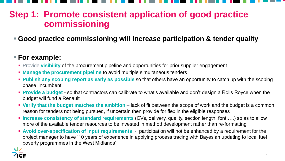### **Step 1: Promote consistent application of good practice commissioning**

### **Good practice commissioning will increase participation & tender quality**

### **For example:**

- **Provide visibility of the procurement pipeline and opportunities for prior supplier engagement**
- **Manage the procurement pipeline** to avoid multiple simultaneous tenders
- **Publish any scoping report as early as possible** so that others have an opportunity to catch up with the scoping phase 'incumbent'
- **Provide a budget**  so that contractors can calibrate to what's available and don't design a Rolls Royce when the budget will fund a Renault
- **Verify that the budget matches the ambition** lack of fit between the scope of work and the budget is a common reason for tenders not being pursued, if uncertain then provide for flex in the eligible responses
- Increase consistency of standard requirements (CVs, delivery, quality, section length, font,….) so as to allow more of the available tender resources to be invested in method development rather than re-formatting
- **Avoid over-specification of input requirements** participation will not be enhanced by a requirement for the project manager to have '10 years of experience in applying process tracing with Bayesian updating to local fuel poverty programmes in the West Midlands'

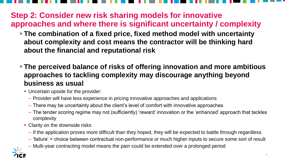### **Step 2: Consider new risk sharing models for innovative approaches and where there is significant uncertainty / complexity**

- **The combination of a fixed price, fixed method model with uncertainty about complexity and cost means the contractor will be thinking hard about the financial and reputational risk**
- **The perceived balance of risks of offering innovation and more ambitious approaches to tackling complexity may discourage anything beyond business as usual**
	- **Uncertain upside for the provider:** 
		- Provider will have less experience in pricing innovative approaches and applications
		- There may be uncertainty about the client's level of comfort with innovative approaches
		- The tender scoring regime may not (sufficiently) 'reward' innovation or the 'enhanced' approach that tackles complexity
	- **Clarity on the downside risks** 
		- If the application proves more difficult than they hoped, they will be expected to battle through regardless
		- 'failure' = choice between contractual non-performance or much higher inputs to secure some sort of result
		- Multi-year contracting model means the pain could be extended over a prolonged period

5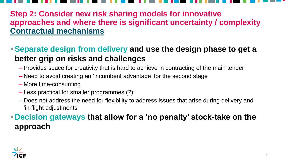**Step 2: Consider new risk sharing models for innovative approaches and where there is significant uncertainty / complexity Contractual mechanisms**

**Separate design from delivery and use the design phase to get a better grip on risks and challenges**

- Provides space for creativity that is hard to achieve in contracting of the main tender
- Need to avoid creating an 'incumbent advantage' for the second stage
- More time-consuming
- Less practical for smaller programmes (?)
- Does not address the need for flexibility to address issues that arise during delivery and 'in flight adjustments'

### **Decision gateways that allow for a 'no penalty' stock-take on the approach**

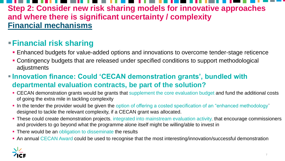### **Step 2: Consider new risk sharing models for innovative approaches and where there is significant uncertainty / complexity Financial mechanisms**

### **Financial risk sharing**

- **Enhanced budgets for value-added options and innovations to overcome tender-stage reticence**
- Contingency budgets that are released under specified conditions to support methodological adjustments
- **Innovation finance: Could 'CECAN demonstration grants', bundled with departmental evaluation contracts, be part of the solution?**
	- CECAN demonstration grants would be grants that supplement the core evaluation budget and fund the additional costs of going the extra mile in tackling complexity
	- In the tender the provider would be given the option of offering a costed specification of an "enhanced methodology" designed to tackle the relevant complexity, if a CECAN grant was allocated.
	- **These could create demonstration projects, integrated into mainstream evaluation activity, that encourage commissioners** and providers to go beyond what the programme alone itself might be willing/able to invest in
	- There would be an obligation to disseminate the results
	- An annual CECAN Award could be used to recognise that the most interesting/innovation/successful demonstration



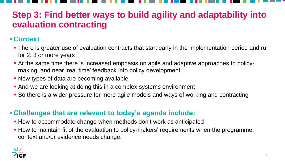### **Step 3: Find better ways to build agility and adaptability into evaluation contracting**

### **Context**

- **There is greater use of evaluation contracts that start early in the implementation period and run** for 2, 3 or more years
- At the same time there is increased emphasis on agile and adaptive approaches to policymaking, and near 'real time' feedback into policy development
- New types of data are becoming available
- And we are looking at doing this in a complex systems environment
- So there is a wider pressure for more agile models and ways of working and contracting

- **How to accommodate change when methods don't work as anticipated**
- **How to maintain fit of the evaluation to policy-makers' requirements when the programme,** context and/or evidence needs change.





### **Challenges that are relevant to today's agenda include:**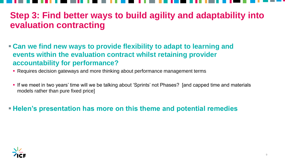### **Step 3: Find better ways to build agility and adaptability into evaluation contracting**

- **Can we find new ways to provide flexibility to adapt to learning and events within the evaluation contract whilst retaining provider accountability for performance?**
	- Requires decision gateways and more thinking about performance management terms
	- **If we meet in two years' time will we be talking about 'Sprints' not Phases?** [and capped time and materials models rather than pure fixed price]

**Helen's presentation has more on this theme and potential remedies**





9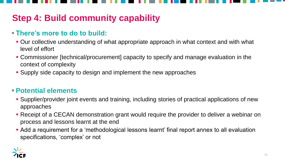## **Step 4: Build community capability**

### **There's more to do to build:**

- **Our collective understanding of what appropriate approach in what context and with what** level of effort
- Commissioner [technical/procurement] capacity to specify and manage evaluation in the context of complexity
- Supply side capacity to design and implement the new approaches

### **Potential elements**

- Supplier/provider joint events and training, including stories of practical applications of new approaches
- Receipt of a CECAN demonstration grant would require the provider to deliver a webinar on process and lessons learnt at the end
- Add a requirement for a 'methodological lessons learnt' final report annex to all evaluation specifications, 'complex' or not



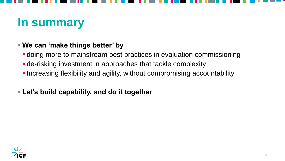# **In summary**

### **We can 'make things better' by**

- doing more to mainstream best practices in evaluation commissioning
- de-risking investment in approaches that tackle complexity
- **Increasing flexibility and agility, without compromising accountability**
- **Let's build capability, and do it together**